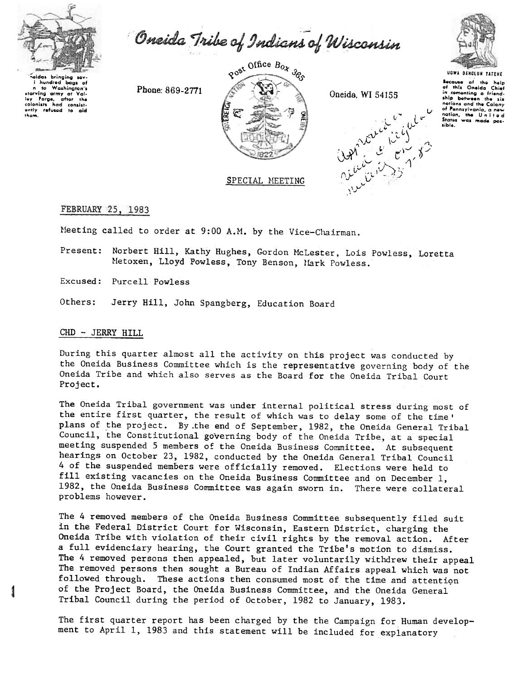

Washington's

to

ontly<br>thom.

n to Washington's<br>starving army at Valley Forge, after the<br>colonists had consist-<br>ontly refused to aid

Oneida Tribe of Indians of Wisconsin



Phone: 869-2771



Oneida, WI 54155

 $(1, 2)$ 

Because of the help<br>of this Oneida Chief<br>in comenting a friendship botween the six nations and the Colony of Pennsylvania, a new nation, the United<br>States was made possible.

# FEBRUARY 25, 1983

Meeting called to order at 9:00 A.M. by the Vice-Chairman.

Present: Norbert Hill, Kathy Hughes, Gordon McLester, Lois Powless, Loretta Metoxen, Lloyd Powless, Tony Benson, Mark Powless.

Excused: Purcell Powless

Jerry Hill, John Spangberg, Education Board Others:

### CHD - JERRY HILL

During this quarter almost all the activity on this project was conducted by the Oneida Business Committee which is the representative governing body of the Oneida Tribe and which also serves as the Board for the Oneida Tribal Court Project.

The Oneida Tribal government was under internal political stress during most of the entire first quarter, the result of which was to delay some of the time' plans of the project. By the end of September, 1982, the Oneida General Tribal Council, the Constitutional governing body of the Oneida Tribe, at a special meeting suspended 5 members of the Oneida Business Committee. At subsequent hearings on October 23, 1982, conducted by the Oneida General Tribal Council 4 of the suspended members were officially removed. Elections were held to fill existing vacancies on the Oneida Business Committee and on December 1, 1982, the Oneida Business Committee was again sworn in. There were collateral problems however.

The 4 removed members of the Oneida Business Committee subsequently filed suit in the Federal District Court for Wisconsin, Eastern District, charging the Oneida Tribe with violation of their civil rights by the removal action. After a full evidenciary hearing, the Court granted the Tribe's motion to dismiss. The 4 removed persons then appealed, but later voluntarily withdrew their appeal The removed persons then sought a Bureau of Indian Affairs appeal which was not followed through. These actions then consumed most of the time and attention of the Project Board, the Oneida Business Committee, and the Oneida General Tribal Council during the period of October, 1982 to January, 1983.

The first quarter report has been charged by the the Campaign for Human development to April 1, 1983 and this statement will be included for explanatory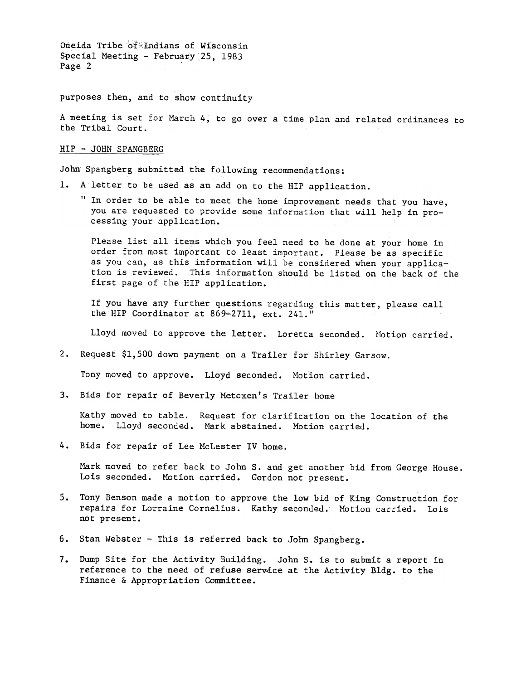Oneida Tribe of. Indians of Wisconsin Special Meeting - February 25, 1983 Page 2

purposes then, and to show continuity

A meeting is set for March 4, to go over a time plan and related ordinances to the Tribal Court.

### HIP -JOHN SPANGBERG

John Spangberg submitted the following recommendations:

- A letter to be used as an add on to the HIP application.
	- " In order to be able to meet the home improvement needs that you have, you are requested to provide some information that will help in processing your application.

Please list all items which you feel need to be done at your home in order from most important to least important. Please be as specific as you can, as this information will be considered when your application is reviewed. This information should be listed on the back of the first page of the HIP application.

If you have any further questions regarding this matter, please call the HIP Coordinator at 869-2711, ext. 241."

Lloyd moved to approve the letter. Loretta seconded. Motion carried.

2. Request \$1,500 down payment on a Trailer for Shirley Garsow.

Tony moved to approve. Lloyd seconded. Motion carried.

3. Bids for repair of Beverly Metoxen's Trailer home

Kathy moved to table. Request for clarification on the location of th home. Lloyd seconded. Mark abstained. Motion carrie

4. Bids for repair of Lee McLester IV home.

Mark moved to refer back to John S. and get another bid from George House. Lois seconded. Motion carried. Gordon not present.

- 5. Tony Benson made a motion to approve the low bid of King Construction for pears for Lorraine Cornelius. Kathy seconded. Motion carried. Lois not present.<br>
6. Stan Webster This is referred back to John Spangberg.<br>
7. D repairs for Lorraine Cornelius. Kathy seconded. Motion carried. Lois not present.
	- 6. Stan Webster -This is referred back to John Spangberg.
- 7. Dump Site for the Activity Building. John S. is to submit a report in reference to the need of refuse service at the Activity Bldg. to the Finance & Appropriation Committee. reference to the need of refuse service at the Activity Bldg. to the Finance & Appropriation Committee.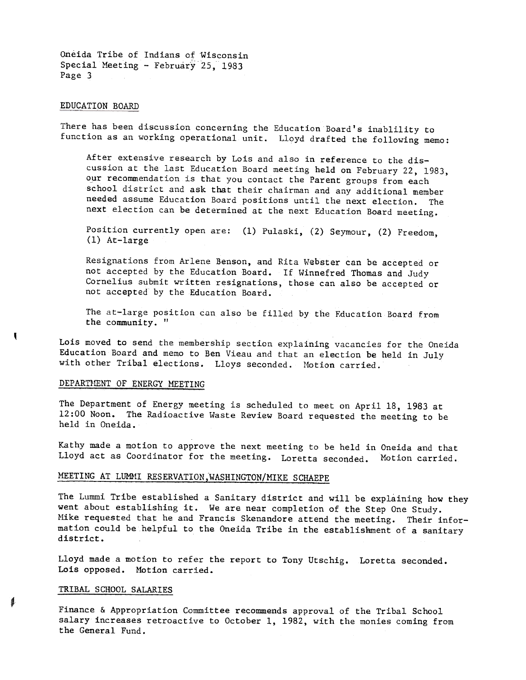Oneida Tribe of Indians of Wisconsin Special Meeting - February 25, 1983 Page 3

#### EDUCATION BOARD

There has been discussion concerning the Education Board's inablility to function as an working operational unit. Lloyd drafted the following memo:

After extensive research by Lois and also in reference to the discussion at the last Education Board meeting held on February 22, 1983, our recommendation is that you contact the Parent groups from each school district and ask that their chairman and any additional member needed assume Education Board positions until the next election. The next election can be determined at the next Education Board meeting.

Position currently open are: (1) Pulaski, (2) Seymour, (2) Freedom (1) At-large

Resignations from Arlene Benson, and Rita Webster can be accepted or not accepted by the Education Board. If Winnefred Thomas and Judy Cornelius submit written resignations, those can also be accepted or not accepted by the Education Board.

The at-large position can also be filled by the Education Board from the community.  $"$ 

Lois moved to send the membership section explaining vacancies for the Oneida Education Board and memo to Ben Vieau and that an election be held in July with other Tribal elections. Lloys seconded. Motion carried.

### DEPARTMENT OF ENERGY MEETING

ŧ

The Department of Energy meeting is scheduled to meet on April 18, 1983 at 12:00 Noon. The Radioactive Waste Review Board requested the meeting to be held in Oneida.

Kathy made a motion to approve the next meeting to be held in Oneida and that Lloyd act as Coordinator for the meeting. Loretta seconded. Motion carried.

# MEETING AT LUMMI RESERVATION, WASHINGTON/MIKE SCHAEPE

The Lummi Tribe established a Sanitary district and will be explaining how the went about establishing it. We are near completion of the Step One Study. Mike requested that he and Francis Skenandore attend the meeting. Their information could be helpful to the Oneida Tribe in the establishment of a sanitary district.

Lloyd made a motion to refer the report to Tony Utschig. Loretta seconde Lois opposed. Motion carried.

## TRIBAL SCHOOL SALARIES

Finance & Appropriation Committee recommends approval of the Tribal School salary increases retroactive to October 1, 1982, with the monies coming from the General Fund.